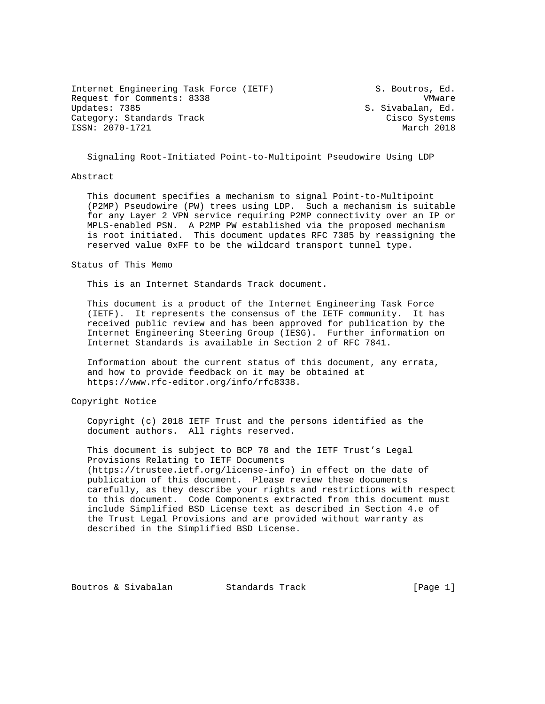Internet Engineering Task Force (IETF) S. Boutros, Ed. Request for Comments: 8338 VMware<br>Updates: 7385 VMware Updates: 7385 VMware Updates: 7385 Category: Standards Track Cisco Systems ISSN: 2070-1721 March 2018

S. Sivabalan, Ed.

Signaling Root-Initiated Point-to-Multipoint Pseudowire Using LDP

### Abstract

 This document specifies a mechanism to signal Point-to-Multipoint (P2MP) Pseudowire (PW) trees using LDP. Such a mechanism is suitable for any Layer 2 VPN service requiring P2MP connectivity over an IP or MPLS-enabled PSN. A P2MP PW established via the proposed mechanism is root initiated. This document updates RFC 7385 by reassigning the reserved value 0xFF to be the wildcard transport tunnel type.

#### Status of This Memo

This is an Internet Standards Track document.

 This document is a product of the Internet Engineering Task Force (IETF). It represents the consensus of the IETF community. It has received public review and has been approved for publication by the Internet Engineering Steering Group (IESG). Further information on Internet Standards is available in Section 2 of RFC 7841.

 Information about the current status of this document, any errata, and how to provide feedback on it may be obtained at https://www.rfc-editor.org/info/rfc8338.

Copyright Notice

 Copyright (c) 2018 IETF Trust and the persons identified as the document authors. All rights reserved.

 This document is subject to BCP 78 and the IETF Trust's Legal Provisions Relating to IETF Documents (https://trustee.ietf.org/license-info) in effect on the date of publication of this document. Please review these documents carefully, as they describe your rights and restrictions with respect to this document. Code Components extracted from this document must include Simplified BSD License text as described in Section 4.e of the Trust Legal Provisions and are provided without warranty as described in the Simplified BSD License.

Boutros & Sivabalan Standards Track [Page 1]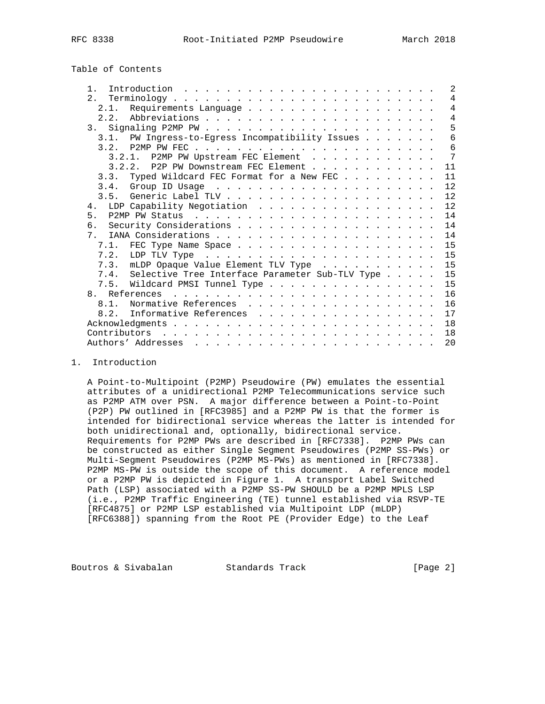| 8338<br>RFC |
|-------------|
|-------------|

# Table of Contents

| $1$ .                                                |  |  | $\mathcal{L}$  |
|------------------------------------------------------|--|--|----------------|
|                                                      |  |  | $\overline{4}$ |
| Requirements Language<br>2.1.                        |  |  | $\overline{4}$ |
| 2.2.                                                 |  |  | $\overline{4}$ |
|                                                      |  |  | 5              |
| 3.1. PW Ingress-to-Egress Incompatibility Issues     |  |  | 6              |
|                                                      |  |  | 6              |
| 3.2.1. P2MP PW Upstream FEC Element                  |  |  | 7              |
| 3.2.2. P2P PW Downstream FEC Element                 |  |  | 11             |
| Typed Wildcard FEC Format for a New FEC<br>3.3.      |  |  | 11             |
|                                                      |  |  | 12             |
|                                                      |  |  | 12             |
| 4.                                                   |  |  | 12             |
| 5.                                                   |  |  | 14             |
|                                                      |  |  | 14             |
| 7 <sub>1</sub>                                       |  |  | 14             |
| 7.1. FEC Type Name Space                             |  |  | 15             |
|                                                      |  |  | 15             |
| 7.3. mLDP Opaque Value Element TLV Type              |  |  | 15             |
| 7.4. Selective Tree Interface Parameter Sub-TLV Type |  |  | 15             |
| 7.5. Wildcard PMSI Tunnel Type                       |  |  | 15             |
|                                                      |  |  | 16             |
| Normative References<br>81                           |  |  | 16             |
| Informative References<br>8.2.                       |  |  | 17             |
|                                                      |  |  | 18             |
|                                                      |  |  |                |
|                                                      |  |  | 18             |
|                                                      |  |  | 20             |

## 1. Introduction

 A Point-to-Multipoint (P2MP) Pseudowire (PW) emulates the essential attributes of a unidirectional P2MP Telecommunications service such as P2MP ATM over PSN. A major difference between a Point-to-Point (P2P) PW outlined in [RFC3985] and a P2MP PW is that the former is intended for bidirectional service whereas the latter is intended for both unidirectional and, optionally, bidirectional service. Requirements for P2MP PWs are described in [RFC7338]. P2MP PWs can be constructed as either Single Segment Pseudowires (P2MP SS-PWs) or Multi-Segment Pseudowires (P2MP MS-PWs) as mentioned in [RFC7338]. P2MP MS-PW is outside the scope of this document. A reference model or a P2MP PW is depicted in Figure 1. A transport Label Switched Path (LSP) associated with a P2MP SS-PW SHOULD be a P2MP MPLS LSP (i.e., P2MP Traffic Engineering (TE) tunnel established via RSVP-TE [RFC4875] or P2MP LSP established via Multipoint LDP (mLDP) [RFC6388]) spanning from the Root PE (Provider Edge) to the Leaf

Boutros & Sivabalan Standards Track [Page 2]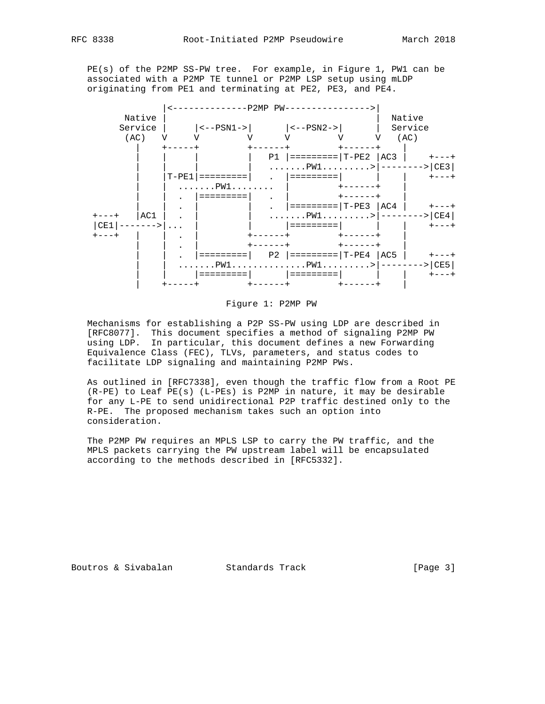PE(s) of the P2MP SS-PW tree. For example, in Figure 1, PW1 can be associated with a P2MP TE tunnel or P2MP LSP setup using mLDP originating from PE1 and terminating at PE2, PE3, and PE4.



Figure 1: P2MP PW

 Mechanisms for establishing a P2P SS-PW using LDP are described in [RFC8077]. This document specifies a method of signaling P2MP PW using LDP. In particular, this document defines a new Forwarding Equivalence Class (FEC), TLVs, parameters, and status codes to facilitate LDP signaling and maintaining P2MP PWs.

 As outlined in [RFC7338], even though the traffic flow from a Root PE (R-PE) to Leaf PE(s) (L-PEs) is P2MP in nature, it may be desirable for any L-PE to send unidirectional P2P traffic destined only to the R-PE. The proposed mechanism takes such an option into consideration.

 The P2MP PW requires an MPLS LSP to carry the PW traffic, and the MPLS packets carrying the PW upstream label will be encapsulated according to the methods described in [RFC5332].

Boutros & Sivabalan Standards Track (Page 3)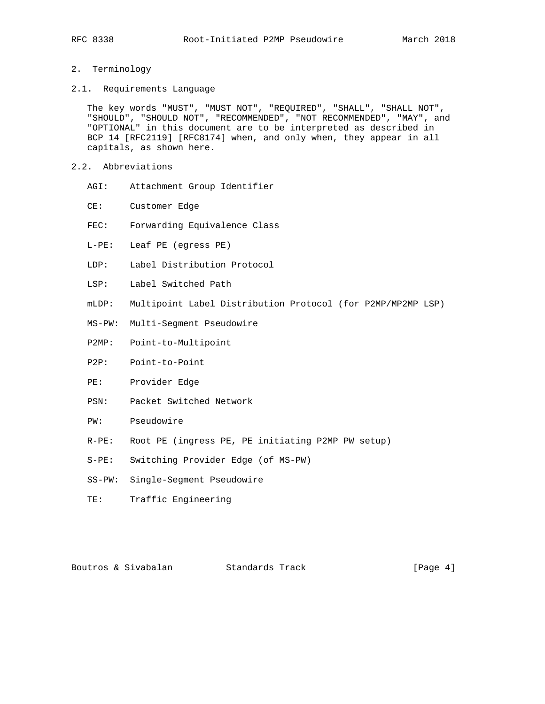## 2. Terminology

2.1. Requirements Language

 The key words "MUST", "MUST NOT", "REQUIRED", "SHALL", "SHALL NOT", "SHOULD", "SHOULD NOT", "RECOMMENDED", "NOT RECOMMENDED", "MAY", and "OPTIONAL" in this document are to be interpreted as described in BCP 14 [RFC2119] [RFC8174] when, and only when, they appear in all capitals, as shown here.

- 2.2. Abbreviations
	- AGI: Attachment Group Identifier
	- CE: Customer Edge
	- FEC: Forwarding Equivalence Class
	- L-PE: Leaf PE (egress PE)
	- LDP: Label Distribution Protocol
	- LSP: Label Switched Path
	- mLDP: Multipoint Label Distribution Protocol (for P2MP/MP2MP LSP)
	- MS-PW: Multi-Segment Pseudowire
	- P2MP: Point-to-Multipoint
	- P2P: Point-to-Point
	- PE: Provider Edge
	- PSN: Packet Switched Network
	- PW: Pseudowire
	- R-PE: Root PE (ingress PE, PE initiating P2MP PW setup)
	- S-PE: Switching Provider Edge (of MS-PW)
	- SS-PW: Single-Segment Pseudowire
	- TE: Traffic Engineering

Boutros & Sivabalan Standards Track (Page 4)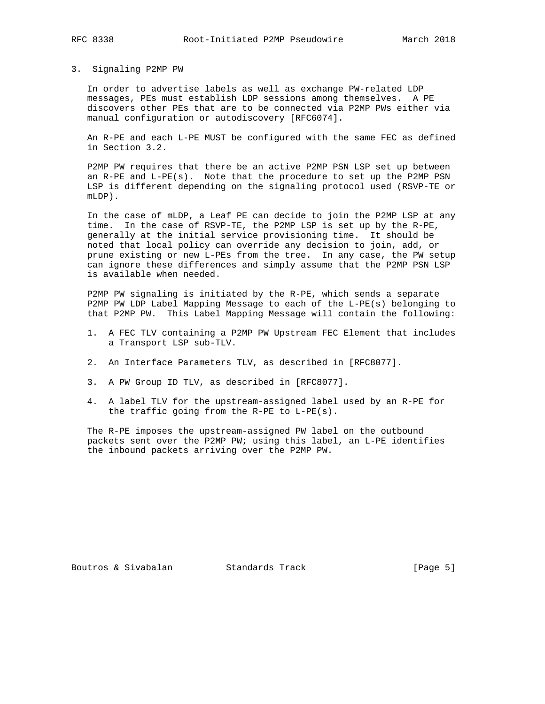### 3. Signaling P2MP PW

 In order to advertise labels as well as exchange PW-related LDP messages, PEs must establish LDP sessions among themselves. A PE discovers other PEs that are to be connected via P2MP PWs either via manual configuration or autodiscovery [RFC6074].

 An R-PE and each L-PE MUST be configured with the same FEC as defined in Section 3.2.

 P2MP PW requires that there be an active P2MP PSN LSP set up between an R-PE and L-PE(s). Note that the procedure to set up the P2MP PSN LSP is different depending on the signaling protocol used (RSVP-TE or mLDP).

 In the case of mLDP, a Leaf PE can decide to join the P2MP LSP at any time. In the case of RSVP-TE, the P2MP LSP is set up by the R-PE, generally at the initial service provisioning time. It should be noted that local policy can override any decision to join, add, or prune existing or new L-PEs from the tree. In any case, the PW setup can ignore these differences and simply assume that the P2MP PSN LSP is available when needed.

 P2MP PW signaling is initiated by the R-PE, which sends a separate P2MP PW LDP Label Mapping Message to each of the L-PE(s) belonging to that P2MP PW. This Label Mapping Message will contain the following:

- 1. A FEC TLV containing a P2MP PW Upstream FEC Element that includes a Transport LSP sub-TLV.
- 2. An Interface Parameters TLV, as described in [RFC8077].
- 3. A PW Group ID TLV, as described in [RFC8077].
- 4. A label TLV for the upstream-assigned label used by an R-PE for the traffic going from the R-PE to L-PE(s).

 The R-PE imposes the upstream-assigned PW label on the outbound packets sent over the P2MP PW; using this label, an L-PE identifies the inbound packets arriving over the P2MP PW.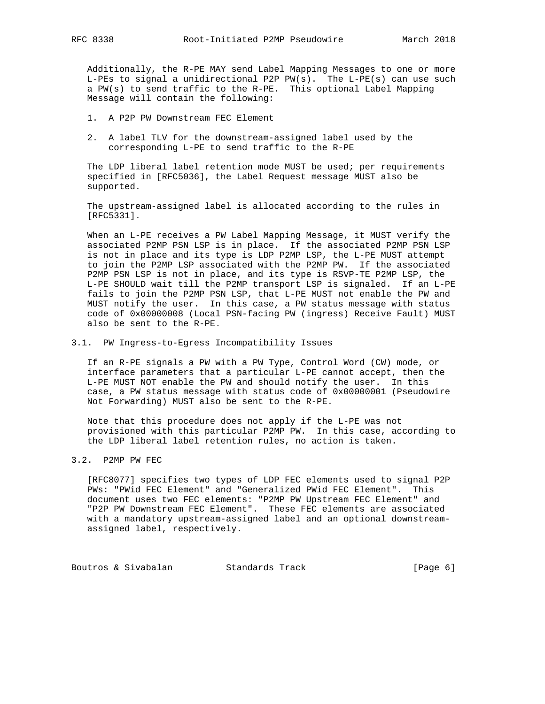Additionally, the R-PE MAY send Label Mapping Messages to one or more L-PEs to signal a unidirectional P2P PW(s). The L-PE(s) can use such a PW(s) to send traffic to the R-PE. This optional Label Mapping Message will contain the following:

- 1. A P2P PW Downstream FEC Element
- 2. A label TLV for the downstream-assigned label used by the corresponding L-PE to send traffic to the R-PE

 The LDP liberal label retention mode MUST be used; per requirements specified in [RFC5036], the Label Request message MUST also be supported.

 The upstream-assigned label is allocated according to the rules in [RFC5331].

 When an L-PE receives a PW Label Mapping Message, it MUST verify the associated P2MP PSN LSP is in place. If the associated P2MP PSN LSP is not in place and its type is LDP P2MP LSP, the L-PE MUST attempt to join the P2MP LSP associated with the P2MP PW. If the associated P2MP PSN LSP is not in place, and its type is RSVP-TE P2MP LSP, the L-PE SHOULD wait till the P2MP transport LSP is signaled. If an L-PE fails to join the P2MP PSN LSP, that L-PE MUST not enable the PW and MUST notify the user. In this case, a PW status message with status code of 0x00000008 (Local PSN-facing PW (ingress) Receive Fault) MUST also be sent to the R-PE.

3.1. PW Ingress-to-Egress Incompatibility Issues

 If an R-PE signals a PW with a PW Type, Control Word (CW) mode, or interface parameters that a particular L-PE cannot accept, then the L-PE MUST NOT enable the PW and should notify the user. In this case, a PW status message with status code of 0x00000001 (Pseudowire Not Forwarding) MUST also be sent to the R-PE.

 Note that this procedure does not apply if the L-PE was not provisioned with this particular P2MP PW. In this case, according to the LDP liberal label retention rules, no action is taken.

## 3.2. P2MP PW FEC

 [RFC8077] specifies two types of LDP FEC elements used to signal P2P PWs: "PWid FEC Element" and "Generalized PWid FEC Element". This document uses two FEC elements: "P2MP PW Upstream FEC Element" and "P2P PW Downstream FEC Element". These FEC elements are associated with a mandatory upstream-assigned label and an optional downstream assigned label, respectively.

Boutros & Sivabalan Standards Track [Page 6]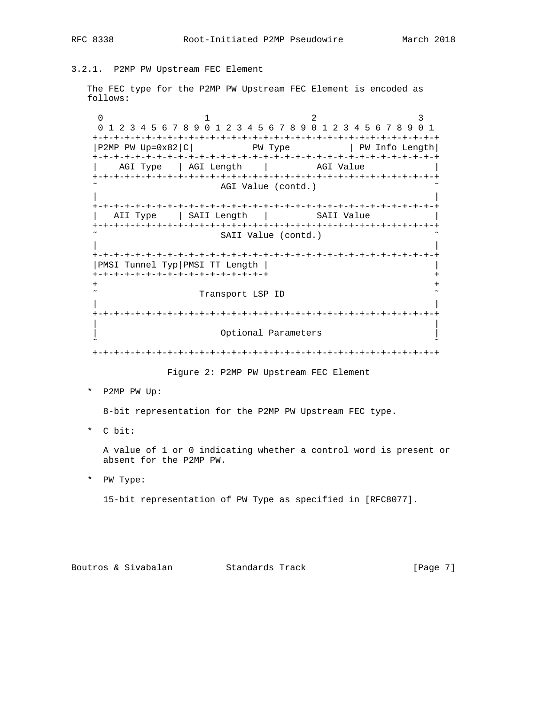3.2.1. P2MP PW Upstream FEC Element

 The FEC type for the P2MP PW Upstream FEC Element is encoded as follows:

 $0$  and  $1$  and  $2$  3 0 1 2 3 4 5 6 7 8 9 0 1 2 3 4 5 6 7 8 9 0 1 2 3 4 5 6 7 8 9 0 1 +-+-+-+-+-+-+-+-+-+-+-+-+-+-+-+-+-+-+-+-+-+-+-+-+-+-+-+-+-+-+-+-+  $|P2MP \nvert PW \nvert Up=0x82|C|$  PW Type  $|PW \nvert PW \nvert DQ$  +-+-+-+-+-+-+-+-+-+-+-+-+-+-+-+-+-+-+-+-+-+-+-+-+-+-+-+-+-+-+-+-+ AGI Type | AGI Length | AGI Value +-+-+-+-+-+-+-+-+-+-+-+-+-+-+-+-+-+-+-+-+-+-+-+-+-+-+-+-+-+-+-+-+ AGI Value (contd.) | | +-+-+-+-+-+-+-+-+-+-+-+-+-+-+-+-+-+-+-+-+-+-+-+-+-+-+-+-+-+-+-+-+ | AII Type | SAII Length | SAII Value +-+-+-+-+-+-+-+-+-+-+-+-+-+-+-+-+-+-+-+-+-+-+-+-+-+-+-+-+-+-+-+-+ SAII Value (contd.) | | +-+-+-+-+-+-+-+-+-+-+-+-+-+-+-+-+-+-+-+-+-+-+-+-+-+-+-+-+-+-+-+-+ |PMSI Tunnel Typ|PMSI TT Length | | +-+-+-+-+-+-+-+-+-+-+-+-+-+-+-+-+ + + + Transport LSP ID | | +-+-+-+-+-+-+-+-+-+-+-+-+-+-+-+-+-+-+-+-+-+-+-+-+-+-+-+-+-+-+-+-+ | | Optional Parameters ˜ ˜ +-+-+-+-+-+-+-+-+-+-+-+-+-+-+-+-+-+-+-+-+-+-+-+-+-+-+-+-+-+-+-+-+

Figure 2: P2MP PW Upstream FEC Element

\* P2MP PW Up:

8-bit representation for the P2MP PW Upstream FEC type.

\* C bit:

 A value of 1 or 0 indicating whether a control word is present or absent for the P2MP PW.

\* PW Type:

15-bit representation of PW Type as specified in [RFC8077].

Boutros & Sivabalan Standards Track [Page 7]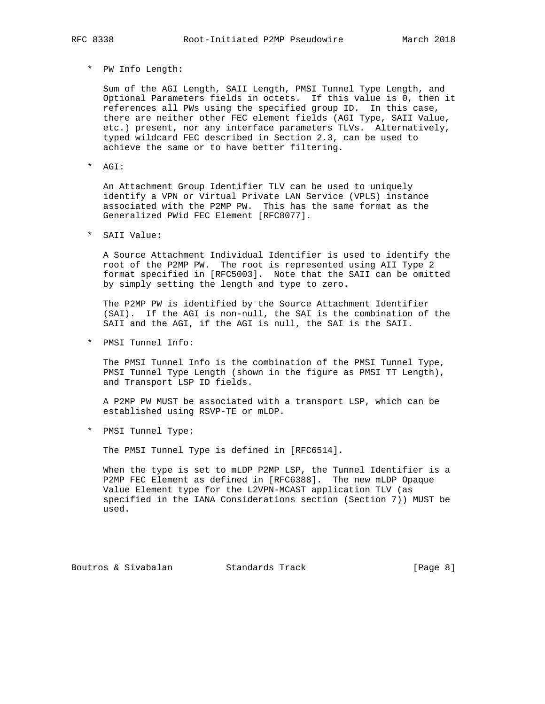## \* PW Info Length:

 Sum of the AGI Length, SAII Length, PMSI Tunnel Type Length, and Optional Parameters fields in octets. If this value is 0, then it references all PWs using the specified group ID. In this case, there are neither other FEC element fields (AGI Type, SAII Value, etc.) present, nor any interface parameters TLVs. Alternatively, typed wildcard FEC described in Section 2.3, can be used to achieve the same or to have better filtering.

\* AGI:

 An Attachment Group Identifier TLV can be used to uniquely identify a VPN or Virtual Private LAN Service (VPLS) instance associated with the P2MP PW. This has the same format as the Generalized PWid FEC Element [RFC8077].

\* SAII Value:

 A Source Attachment Individual Identifier is used to identify the root of the P2MP PW. The root is represented using AII Type 2 format specified in [RFC5003]. Note that the SAII can be omitted by simply setting the length and type to zero.

 The P2MP PW is identified by the Source Attachment Identifier (SAI). If the AGI is non-null, the SAI is the combination of the SAII and the AGI, if the AGI is null, the SAI is the SAII.

\* PMSI Tunnel Info:

 The PMSI Tunnel Info is the combination of the PMSI Tunnel Type, PMSI Tunnel Type Length (shown in the figure as PMSI TT Length), and Transport LSP ID fields.

 A P2MP PW MUST be associated with a transport LSP, which can be established using RSVP-TE or mLDP.

\* PMSI Tunnel Type:

The PMSI Tunnel Type is defined in [RFC6514].

 When the type is set to mLDP P2MP LSP, the Tunnel Identifier is a P2MP FEC Element as defined in [RFC6388]. The new mLDP Opaque Value Element type for the L2VPN-MCAST application TLV (as specified in the IANA Considerations section (Section 7)) MUST be used.

Boutros & Sivabalan Standards Track [Page 8]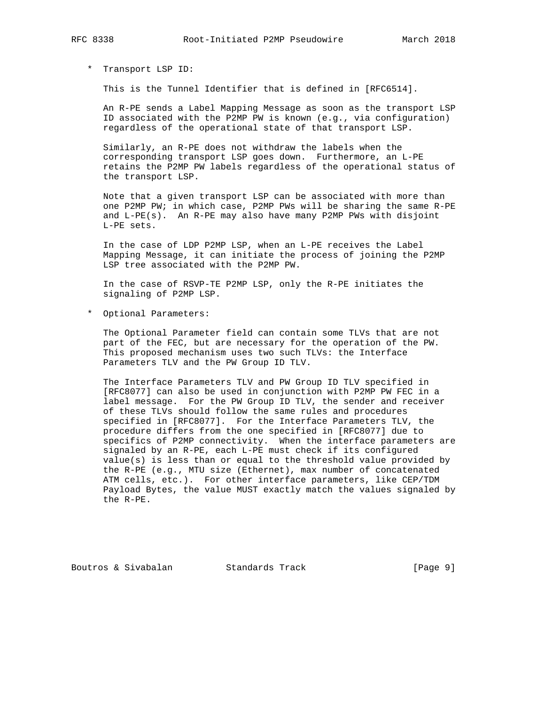\* Transport LSP ID:

This is the Tunnel Identifier that is defined in [RFC6514].

 An R-PE sends a Label Mapping Message as soon as the transport LSP ID associated with the P2MP PW is known (e.g., via configuration) regardless of the operational state of that transport LSP.

 Similarly, an R-PE does not withdraw the labels when the corresponding transport LSP goes down. Furthermore, an L-PE retains the P2MP PW labels regardless of the operational status of the transport LSP.

 Note that a given transport LSP can be associated with more than one P2MP PW; in which case, P2MP PWs will be sharing the same R-PE and L-PE(s). An R-PE may also have many P2MP PWs with disjoint L-PE sets.

 In the case of LDP P2MP LSP, when an L-PE receives the Label Mapping Message, it can initiate the process of joining the P2MP LSP tree associated with the P2MP PW.

 In the case of RSVP-TE P2MP LSP, only the R-PE initiates the signaling of P2MP LSP.

\* Optional Parameters:

 The Optional Parameter field can contain some TLVs that are not part of the FEC, but are necessary for the operation of the PW. This proposed mechanism uses two such TLVs: the Interface Parameters TLV and the PW Group ID TLV.

 The Interface Parameters TLV and PW Group ID TLV specified in [RFC8077] can also be used in conjunction with P2MP PW FEC in a label message. For the PW Group ID TLV, the sender and receiver of these TLVs should follow the same rules and procedures specified in [RFC8077]. For the Interface Parameters TLV, the procedure differs from the one specified in [RFC8077] due to specifics of P2MP connectivity. When the interface parameters are signaled by an R-PE, each L-PE must check if its configured value(s) is less than or equal to the threshold value provided by the R-PE (e.g., MTU size (Ethernet), max number of concatenated ATM cells, etc.). For other interface parameters, like CEP/TDM Payload Bytes, the value MUST exactly match the values signaled by the R-PE.

Boutros & Sivabalan Standards Track [Page 9]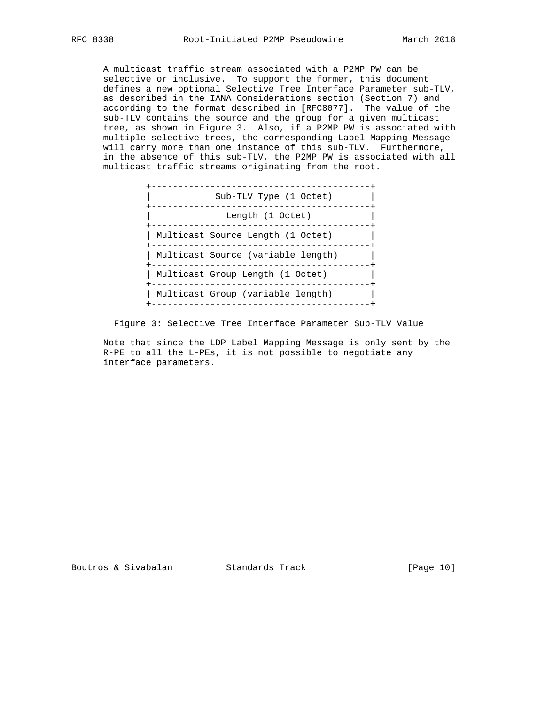A multicast traffic stream associated with a P2MP PW can be selective or inclusive. To support the former, this document defines a new optional Selective Tree Interface Parameter sub-TLV, as described in the IANA Considerations section (Section 7) and according to the format described in [RFC8077]. The value of the sub-TLV contains the source and the group for a given multicast tree, as shown in Figure 3. Also, if a P2MP PW is associated with multiple selective trees, the corresponding Label Mapping Message will carry more than one instance of this sub-TLV. Furthermore, in the absence of this sub-TLV, the P2MP PW is associated with all multicast traffic streams originating from the root.



Figure 3: Selective Tree Interface Parameter Sub-TLV Value

 Note that since the LDP Label Mapping Message is only sent by the R-PE to all the L-PEs, it is not possible to negotiate any interface parameters.

Boutros & Sivabalan Standards Track [Page 10]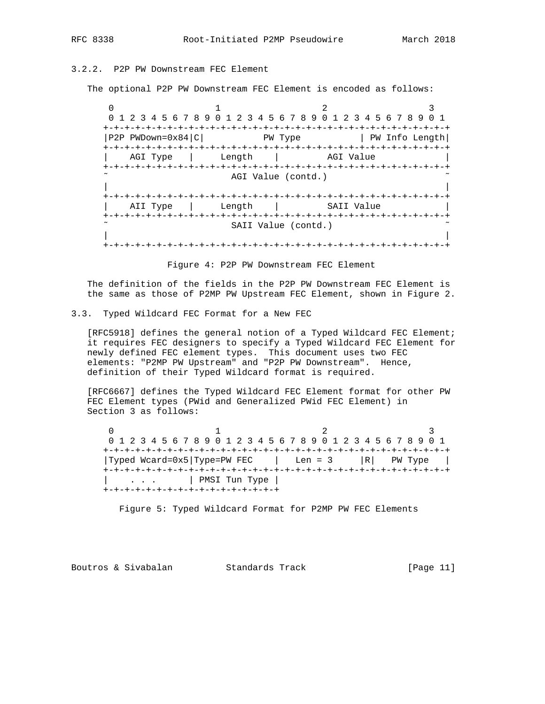# 3.2.2. P2P PW Downstream FEC Element

The optional P2P PW Downstream FEC Element is encoded as follows:

 $0$  1 2 3 0 1 2 3 4 5 6 7 8 9 0 1 2 3 4 5 6 7 8 9 0 1 2 3 4 5 6 7 8 9 0 1 +-+-+-+-+-+-+-+-+-+-+-+-+-+-+-+-+-+-+-+-+-+-+-+-+-+-+-+-+-+-+-+-+ |P2P PWDown=0x84|C| PW Type | PW Info Length +-+-+-+-+-+-+-+-+-+-+-+-+-+-+-+-+-+-+-+-+-+-+-+-+-+-+-+-+-+-+-+-+ AGI Type | Length | AGI Value +-+-+-+-+-+-+-+-+-+-+-+-+-+-+-+-+-+-+-+-+-+-+-+-+-+-+-+-+-+-+-+-+ AGI Value (contd.) | | +-+-+-+-+-+-+-+-+-+-+-+-+-+-+-+-+-+-+-+-+-+-+-+-+-+-+-+-+-+-+-+-+ AII Type | Length | SAII Value +-+-+-+-+-+-+-+-+-+-+-+-+-+-+-+-+-+-+-+-+-+-+-+-+-+-+-+-+-+-+-+-+ SAII Value (contd.) | | +-+-+-+-+-+-+-+-+-+-+-+-+-+-+-+-+-+-+-+-+-+-+-+-+-+-+-+-+-+-+-+-+

Figure 4: P2P PW Downstream FEC Element

 The definition of the fields in the P2P PW Downstream FEC Element is the same as those of P2MP PW Upstream FEC Element, shown in Figure 2.

3.3. Typed Wildcard FEC Format for a New FEC

 [RFC5918] defines the general notion of a Typed Wildcard FEC Element; it requires FEC designers to specify a Typed Wildcard FEC Element for newly defined FEC element types. This document uses two FEC elements: "P2MP PW Upstream" and "P2P PW Downstream". Hence, definition of their Typed Wildcard format is required.

 [RFC6667] defines the Typed Wildcard FEC Element format for other PW FEC Element types (PWid and Generalized PWid FEC Element) in Section 3 as follows:

 $0$  1 2 3 0 1 2 3 4 5 6 7 8 9 0 1 2 3 4 5 6 7 8 9 0 1 2 3 4 5 6 7 8 9 0 1 +-+-+-+-+-+-+-+-+-+-+-+-+-+-+-+-+-+-+-+-+-+-+-+-+-+-+-+-+-+-+-+-+ |Typed Wcard=0x5|Type=PW FEC | Len = 3 |R| PW Type | +-+-+-+-+-+-+-+-+-+-+-+-+-+-+-+-+-+-+-+-+-+-+-+-+-+-+-+-+-+-+-+-+ | . . . | PMSI Tun Type | +-+-+-+-+-+-+-+-+-+-+-+-+-+-+-+-+

Figure 5: Typed Wildcard Format for P2MP PW FEC Elements

Boutros & Sivabalan Standards Track [Page 11]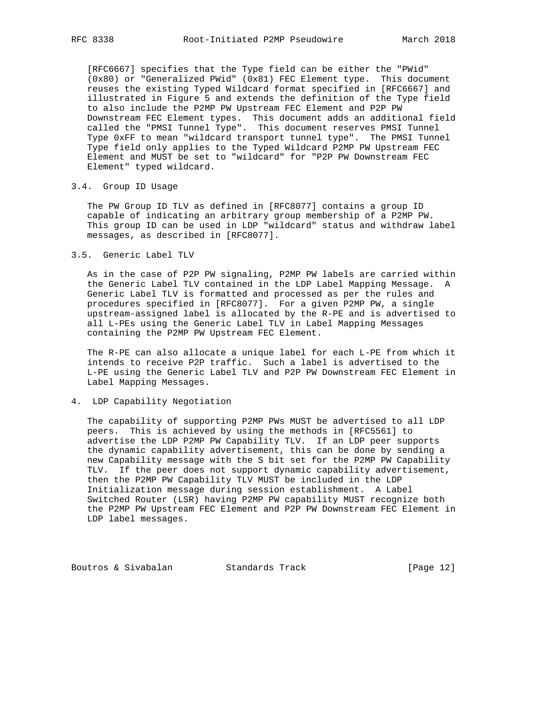[RFC6667] specifies that the Type field can be either the "PWid" (0x80) or "Generalized PWid" (0x81) FEC Element type. This document reuses the existing Typed Wildcard format specified in [RFC6667] and illustrated in Figure 5 and extends the definition of the Type field to also include the P2MP PW Upstream FEC Element and P2P PW Downstream FEC Element types. This document adds an additional field called the "PMSI Tunnel Type". This document reserves PMSI Tunnel Type 0xFF to mean "wildcard transport tunnel type". The PMSI Tunnel Type field only applies to the Typed Wildcard P2MP PW Upstream FEC Element and MUST be set to "wildcard" for "P2P PW Downstream FEC Element" typed wildcard.

### 3.4. Group ID Usage

 The PW Group ID TLV as defined in [RFC8077] contains a group ID capable of indicating an arbitrary group membership of a P2MP PW. This group ID can be used in LDP "wildcard" status and withdraw label messages, as described in [RFC8077].

3.5. Generic Label TLV

 As in the case of P2P PW signaling, P2MP PW labels are carried within the Generic Label TLV contained in the LDP Label Mapping Message. A Generic Label TLV is formatted and processed as per the rules and procedures specified in [RFC8077]. For a given P2MP PW, a single upstream-assigned label is allocated by the R-PE and is advertised to all L-PEs using the Generic Label TLV in Label Mapping Messages containing the P2MP PW Upstream FEC Element.

 The R-PE can also allocate a unique label for each L-PE from which it intends to receive P2P traffic. Such a label is advertised to the L-PE using the Generic Label TLV and P2P PW Downstream FEC Element in Label Mapping Messages.

### 4. LDP Capability Negotiation

 The capability of supporting P2MP PWs MUST be advertised to all LDP peers. This is achieved by using the methods in [RFC5561] to advertise the LDP P2MP PW Capability TLV. If an LDP peer supports the dynamic capability advertisement, this can be done by sending a new Capability message with the S bit set for the P2MP PW Capability TLV. If the peer does not support dynamic capability advertisement, then the P2MP PW Capability TLV MUST be included in the LDP Initialization message during session establishment. A Label Switched Router (LSR) having P2MP PW capability MUST recognize both the P2MP PW Upstream FEC Element and P2P PW Downstream FEC Element in LDP label messages.

Boutros & Sivabalan Standards Track [Page 12]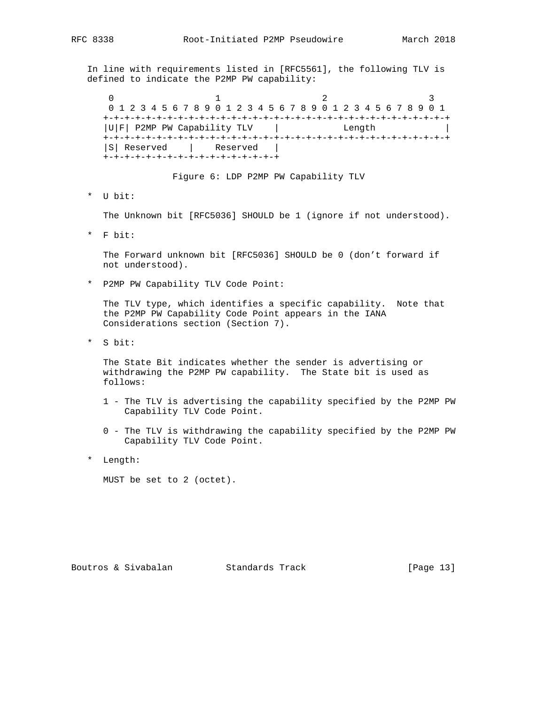In line with requirements listed in [RFC5561], the following TLV is defined to indicate the P2MP PW capability:

 $0$  1 2 3 0 1 2 3 4 5 6 7 8 9 0 1 2 3 4 5 6 7 8 9 0 1 2 3 4 5 6 7 8 9 0 1 +-+-+-+-+-+-+-+-+-+-+-+-+-+-+-+-+-+-+-+-+-+-+-+-+-+-+-+-+-+-+-+-+ |U|F| P2MP PW Capability TLV | Length | +-+-+-+-+-+-+-+-+-+-+-+-+-+-+-+-+-+-+-+-+-+-+-+-+-+-+-+-+-+-+-+-+ |S| Reserved | Reserved | +-+-+-+-+-+-+-+-+-+-+-+-+-+-+-+-+

Figure 6: LDP P2MP PW Capability TLV

\* U bit:

The Unknown bit [RFC5036] SHOULD be 1 (ignore if not understood).

\* F bit:

 The Forward unknown bit [RFC5036] SHOULD be 0 (don't forward if not understood).

\* P2MP PW Capability TLV Code Point:

 The TLV type, which identifies a specific capability. Note that the P2MP PW Capability Code Point appears in the IANA Considerations section (Section 7).

\* S bit:

 The State Bit indicates whether the sender is advertising or withdrawing the P2MP PW capability. The State bit is used as follows:

- 1 The TLV is advertising the capability specified by the P2MP PW Capability TLV Code Point.
- 0 The TLV is withdrawing the capability specified by the P2MP PW Capability TLV Code Point.
- \* Length:

MUST be set to 2 (octet).

Boutros & Sivabalan Standards Track [Page 13]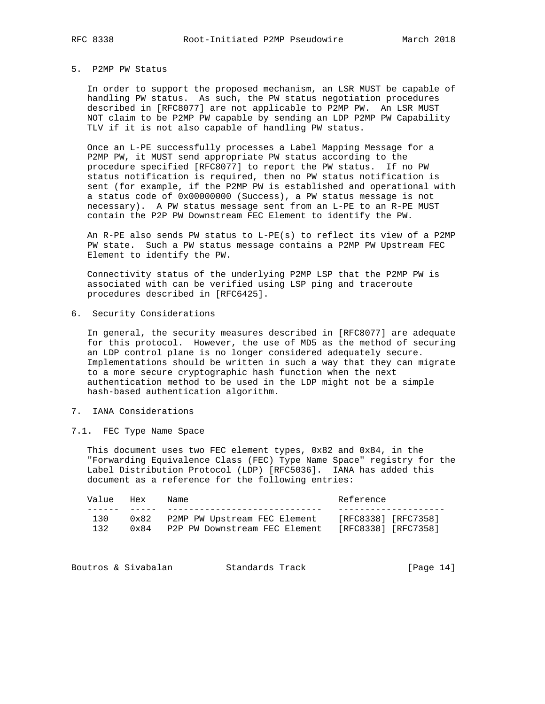### 5. P2MP PW Status

 In order to support the proposed mechanism, an LSR MUST be capable of handling PW status. As such, the PW status negotiation procedures described in [RFC8077] are not applicable to P2MP PW. An LSR MUST NOT claim to be P2MP PW capable by sending an LDP P2MP PW Capability TLV if it is not also capable of handling PW status.

 Once an L-PE successfully processes a Label Mapping Message for a P2MP PW, it MUST send appropriate PW status according to the procedure specified [RFC8077] to report the PW status. If no PW status notification is required, then no PW status notification is sent (for example, if the P2MP PW is established and operational with a status code of 0x00000000 (Success), a PW status message is not necessary). A PW status message sent from an L-PE to an R-PE MUST contain the P2P PW Downstream FEC Element to identify the PW.

 An R-PE also sends PW status to L-PE(s) to reflect its view of a P2MP PW state. Such a PW status message contains a P2MP PW Upstream FEC Element to identify the PW.

 Connectivity status of the underlying P2MP LSP that the P2MP PW is associated with can be verified using LSP ping and traceroute procedures described in [RFC6425].

6. Security Considerations

 In general, the security measures described in [RFC8077] are adequate for this protocol. However, the use of MD5 as the method of securing an LDP control plane is no longer considered adequately secure. Implementations should be written in such a way that they can migrate to a more secure cryptographic hash function when the next authentication method to be used in the LDP might not be a simple hash-based authentication algorithm.

## 7. IANA Considerations

7.1. FEC Type Name Space

 This document uses two FEC element types, 0x82 and 0x84, in the "Forwarding Equivalence Class (FEC) Type Name Space" registry for the Label Distribution Protocol (LDP) [RFC5036]. IANA has added this document as a reference for the following entries:

| Value | Hex           | Name                          | Reference           |
|-------|---------------|-------------------------------|---------------------|
|       |               |                               |                     |
| 130   | $0 \times 82$ | P2MP PW Upstream FEC Element  | [RFC8338] [RFC7358] |
| 132   | $0 \times 84$ | P2P PW Downstream FEC Element | [RFC8338] [RFC7358] |

|  | Boutros & Sivabalan | Standards Track | [Page $14$ ] |  |  |
|--|---------------------|-----------------|--------------|--|--|
|--|---------------------|-----------------|--------------|--|--|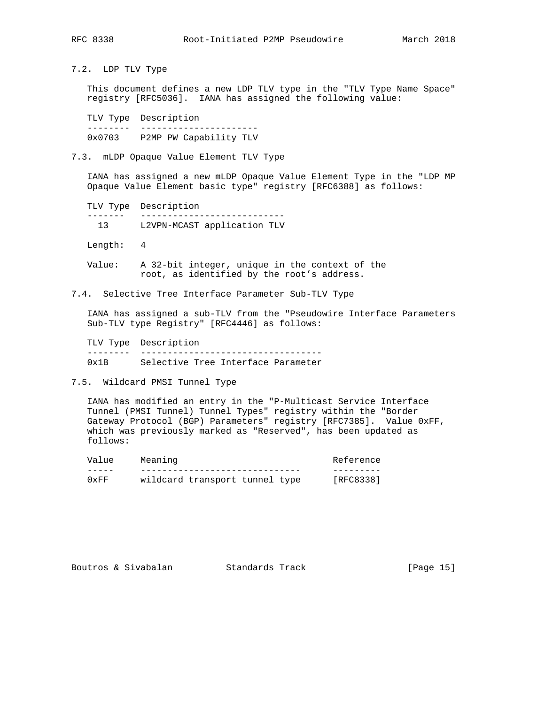7.2. LDP TLV Type

 This document defines a new LDP TLV type in the "TLV Type Name Space" registry [RFC5036]. IANA has assigned the following value:

 TLV Type Description -------- ---------------------- 0x0703 P2MP PW Capability TLV

7.3. mLDP Opaque Value Element TLV Type

 IANA has assigned a new mLDP Opaque Value Element Type in the "LDP MP Opaque Value Element basic type" registry [RFC6388] as follows:

 TLV Type Description ------- --------------------------- 13 L2VPN-MCAST application TLV

Length: 4

 Value: A 32-bit integer, unique in the context of the root, as identified by the root's address.

7.4. Selective Tree Interface Parameter Sub-TLV Type

 IANA has assigned a sub-TLV from the "Pseudowire Interface Parameters Sub-TLV type Registry" [RFC4446] as follows:

 TLV Type Description -------- ---------------------------------- 0x1B Selective Tree Interface Parameter

7.5. Wildcard PMSI Tunnel Type

 IANA has modified an entry in the "P-Multicast Service Interface Tunnel (PMSI Tunnel) Tunnel Types" registry within the "Border Gateway Protocol (BGP) Parameters" registry [RFC7385]. Value 0xFF, which was previously marked as "Reserved", has been updated as follows:

| Value | Meaning                        | Reference |
|-------|--------------------------------|-----------|
|       |                                |           |
| 0xFF  | wildcard transport tunnel type | [RFC8338] |

|  | Boutros & Sivabalan | Standards Track | [Page 15] |
|--|---------------------|-----------------|-----------|
|--|---------------------|-----------------|-----------|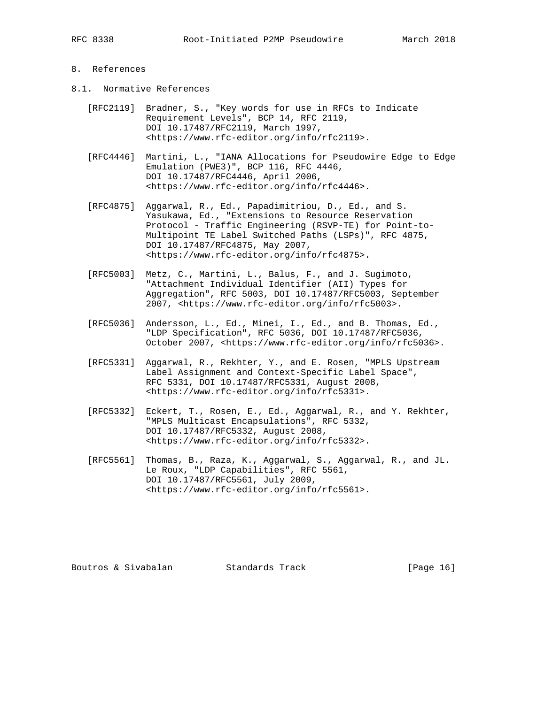## 8. References

- 8.1. Normative References
	- [RFC2119] Bradner, S., "Key words for use in RFCs to Indicate Requirement Levels", BCP 14, RFC 2119, DOI 10.17487/RFC2119, March 1997, <https://www.rfc-editor.org/info/rfc2119>.
	- [RFC4446] Martini, L., "IANA Allocations for Pseudowire Edge to Edge Emulation (PWE3)", BCP 116, RFC 4446, DOI 10.17487/RFC4446, April 2006, <https://www.rfc-editor.org/info/rfc4446>.
	- [RFC4875] Aggarwal, R., Ed., Papadimitriou, D., Ed., and S. Yasukawa, Ed., "Extensions to Resource Reservation Protocol - Traffic Engineering (RSVP-TE) for Point-to- Multipoint TE Label Switched Paths (LSPs)", RFC 4875, DOI 10.17487/RFC4875, May 2007, <https://www.rfc-editor.org/info/rfc4875>.
	- [RFC5003] Metz, C., Martini, L., Balus, F., and J. Sugimoto, "Attachment Individual Identifier (AII) Types for Aggregation", RFC 5003, DOI 10.17487/RFC5003, September 2007, <https://www.rfc-editor.org/info/rfc5003>.
	- [RFC5036] Andersson, L., Ed., Minei, I., Ed., and B. Thomas, Ed., "LDP Specification", RFC 5036, DOI 10.17487/RFC5036, October 2007, <https://www.rfc-editor.org/info/rfc5036>.
	- [RFC5331] Aggarwal, R., Rekhter, Y., and E. Rosen, "MPLS Upstream Label Assignment and Context-Specific Label Space", RFC 5331, DOI 10.17487/RFC5331, August 2008, <https://www.rfc-editor.org/info/rfc5331>.
	- [RFC5332] Eckert, T., Rosen, E., Ed., Aggarwal, R., and Y. Rekhter, "MPLS Multicast Encapsulations", RFC 5332, DOI 10.17487/RFC5332, August 2008, <https://www.rfc-editor.org/info/rfc5332>.
	- [RFC5561] Thomas, B., Raza, K., Aggarwal, S., Aggarwal, R., and JL. Le Roux, "LDP Capabilities", RFC 5561, DOI 10.17487/RFC5561, July 2009, <https://www.rfc-editor.org/info/rfc5561>.

Boutros & Sivabalan Standards Track [Page 16]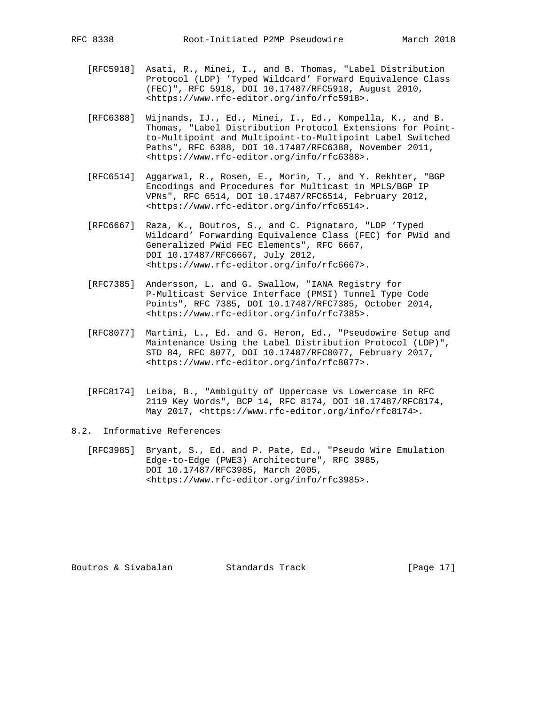- [RFC5918] Asati, R., Minei, I., and B. Thomas, "Label Distribution Protocol (LDP) 'Typed Wildcard' Forward Equivalence Class (FEC)", RFC 5918, DOI 10.17487/RFC5918, August 2010, <https://www.rfc-editor.org/info/rfc5918>.
- [RFC6388] Wijnands, IJ., Ed., Minei, I., Ed., Kompella, K., and B. Thomas, "Label Distribution Protocol Extensions for Point to-Multipoint and Multipoint-to-Multipoint Label Switched Paths", RFC 6388, DOI 10.17487/RFC6388, November 2011, <https://www.rfc-editor.org/info/rfc6388>.
- [RFC6514] Aggarwal, R., Rosen, E., Morin, T., and Y. Rekhter, "BGP Encodings and Procedures for Multicast in MPLS/BGP IP VPNs", RFC 6514, DOI 10.17487/RFC6514, February 2012, <https://www.rfc-editor.org/info/rfc6514>.
- [RFC6667] Raza, K., Boutros, S., and C. Pignataro, "LDP 'Typed Wildcard' Forwarding Equivalence Class (FEC) for PWid and Generalized PWid FEC Elements", RFC 6667, DOI 10.17487/RFC6667, July 2012, <https://www.rfc-editor.org/info/rfc6667>.
- [RFC7385] Andersson, L. and G. Swallow, "IANA Registry for P-Multicast Service Interface (PMSI) Tunnel Type Code Points", RFC 7385, DOI 10.17487/RFC7385, October 2014, <https://www.rfc-editor.org/info/rfc7385>.
- [RFC8077] Martini, L., Ed. and G. Heron, Ed., "Pseudowire Setup and Maintenance Using the Label Distribution Protocol (LDP)", STD 84, RFC 8077, DOI 10.17487/RFC8077, February 2017, <https://www.rfc-editor.org/info/rfc8077>.
- [RFC8174] Leiba, B., "Ambiguity of Uppercase vs Lowercase in RFC 2119 Key Words", BCP 14, RFC 8174, DOI 10.17487/RFC8174, May 2017, <https://www.rfc-editor.org/info/rfc8174>.
- 8.2. Informative References
	- [RFC3985] Bryant, S., Ed. and P. Pate, Ed., "Pseudo Wire Emulation Edge-to-Edge (PWE3) Architecture", RFC 3985, DOI 10.17487/RFC3985, March 2005, <https://www.rfc-editor.org/info/rfc3985>.

Boutros & Sivabalan Standards Track [Page 17]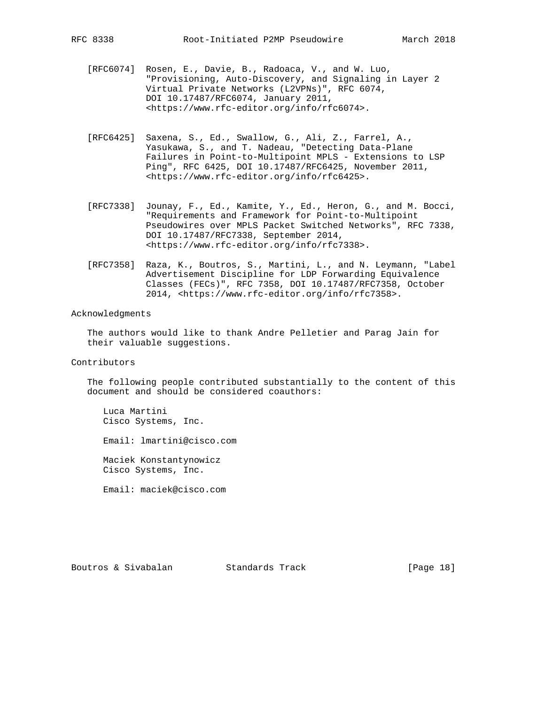- [RFC6074] Rosen, E., Davie, B., Radoaca, V., and W. Luo, "Provisioning, Auto-Discovery, and Signaling in Layer 2 Virtual Private Networks (L2VPNs)", RFC 6074, DOI 10.17487/RFC6074, January 2011, <https://www.rfc-editor.org/info/rfc6074>.
- [RFC6425] Saxena, S., Ed., Swallow, G., Ali, Z., Farrel, A., Yasukawa, S., and T. Nadeau, "Detecting Data-Plane Failures in Point-to-Multipoint MPLS - Extensions to LSP Ping", RFC 6425, DOI 10.17487/RFC6425, November 2011, <https://www.rfc-editor.org/info/rfc6425>.
- [RFC7338] Jounay, F., Ed., Kamite, Y., Ed., Heron, G., and M. Bocci, "Requirements and Framework for Point-to-Multipoint Pseudowires over MPLS Packet Switched Networks", RFC 7338, DOI 10.17487/RFC7338, September 2014, <https://www.rfc-editor.org/info/rfc7338>.
- [RFC7358] Raza, K., Boutros, S., Martini, L., and N. Leymann, "Label Advertisement Discipline for LDP Forwarding Equivalence Classes (FECs)", RFC 7358, DOI 10.17487/RFC7358, October 2014, <https://www.rfc-editor.org/info/rfc7358>.

### Acknowledgments

 The authors would like to thank Andre Pelletier and Parag Jain for their valuable suggestions.

Contributors

 The following people contributed substantially to the content of this document and should be considered coauthors:

 Luca Martini Cisco Systems, Inc.

Email: lmartini@cisco.com

 Maciek Konstantynowicz Cisco Systems, Inc.

Email: maciek@cisco.com

Boutros & Sivabalan Standards Track [Page 18]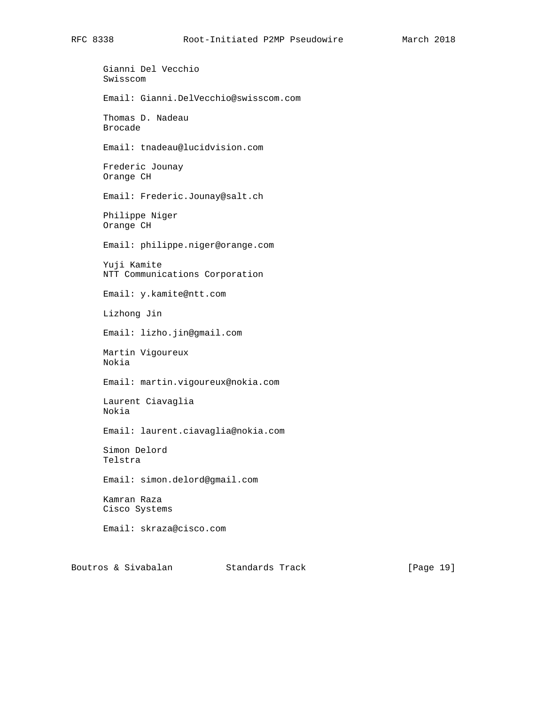Gianni Del Vecchio Swisscom Email: Gianni.DelVecchio@swisscom.com Thomas D. Nadeau Brocade Email: tnadeau@lucidvision.com Frederic Jounay Orange CH Email: Frederic.Jounay@salt.ch Philippe Niger Orange CH Email: philippe.niger@orange.com Yuji Kamite NTT Communications Corporation Email: y.kamite@ntt.com Lizhong Jin Email: lizho.jin@gmail.com Martin Vigoureux Nokia Email: martin.vigoureux@nokia.com Laurent Ciavaglia Nokia Email: laurent.ciavaglia@nokia.com Simon Delord Telstra Email: simon.delord@gmail.com Kamran Raza Cisco Systems Email: skraza@cisco.com

Boutros & Sivabalan Standards Track [Page 19]